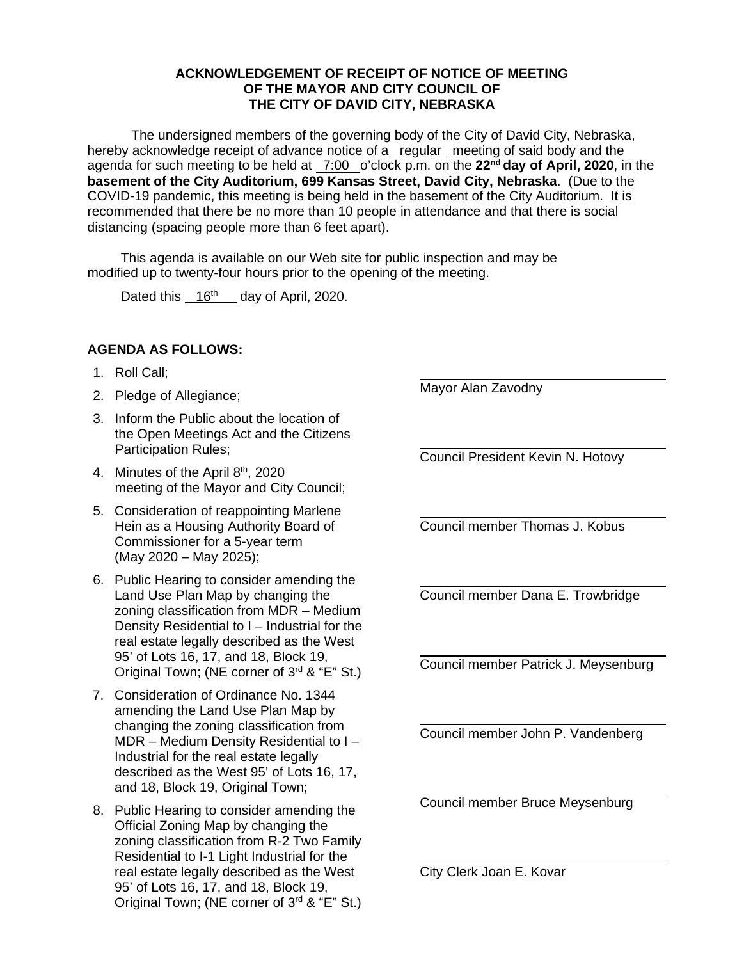## **ACKNOWLEDGEMENT OF RECEIPT OF NOTICE OF MEETING OF THE MAYOR AND CITY COUNCIL OF THE CITY OF DAVID CITY, NEBRASKA**

The undersigned members of the governing body of the City of David City, Nebraska, hereby acknowledge receipt of advance notice of a regular meeting of said body and the agenda for such meeting to be held at 7:00 o'clock p.m. on the **22nd day of April, 2020**, in the **basement of the City Auditorium, 699 Kansas Street, David City, Nebraska**. (Due to the COVID-19 pandemic, this meeting is being held in the basement of the City Auditorium. It is recommended that there be no more than 10 people in attendance and that there is social distancing (spacing people more than 6 feet apart).

This agenda is available on our Web site for public inspection and may be modified up to twenty-four hours prior to the opening of the meeting.

Dated this 16<sup>th</sup> day of April, 2020.

## **AGENDA AS FOLLOWS:**

- 1. Roll Call;
- 2. Pledge of Allegiance;
- 3. Inform the Public about the location of the Open Meetings Act and the Citizens Participation Rules;
- 4. Minutes of the April 8<sup>th</sup>, 2020 meeting of the Mayor and City Council;
- 5. Consideration of reappointing Marlene Hein as a Housing Authority Board of Commissioner for a 5-year term (May 2020 – May 2025);
- 6. Public Hearing to consider amending the Land Use Plan Map by changing the zoning classification from MDR – Medium Density Residential to I – Industrial for the real estate legally described as the West 95' of Lots 16, 17, and 18, Block 19, Original Town: (NE corner of 3<sup>rd</sup> & "E" St.)
- 7. Consideration of Ordinance No. 1344 amending the Land Use Plan Map by changing the zoning classification from MDR – Medium Density Residential to I – Industrial for the real estate legally described as the West 95' of Lots 16, 17, and 18, Block 19, Original Town;
- 8. Public Hearing to consider amending the Official Zoning Map by changing the zoning classification from R-2 Two Family Residential to I-1 Light Industrial for the real estate legally described as the West 95' of Lots 16, 17, and 18, Block 19, Original Town: (NE corner of 3<sup>rd</sup> & "E" St.)

Mayor Alan Zavodny

 $\overline{\phantom{a}}$ 

 $\overline{\phantom{a}}$ 

 $\overline{\phantom{a}}$ 

l

 $\overline{\phantom{a}}$ 

 $\overline{\phantom{a}}$ 

Council President Kevin N. Hotovy

l Council member Thomas J. Kobus

Council member Dana E. Trowbridge

Council member Patrick J. Meysenburg

Council member John P. Vandenberg

Council member Bruce Meysenburg

City Clerk Joan E. Kovar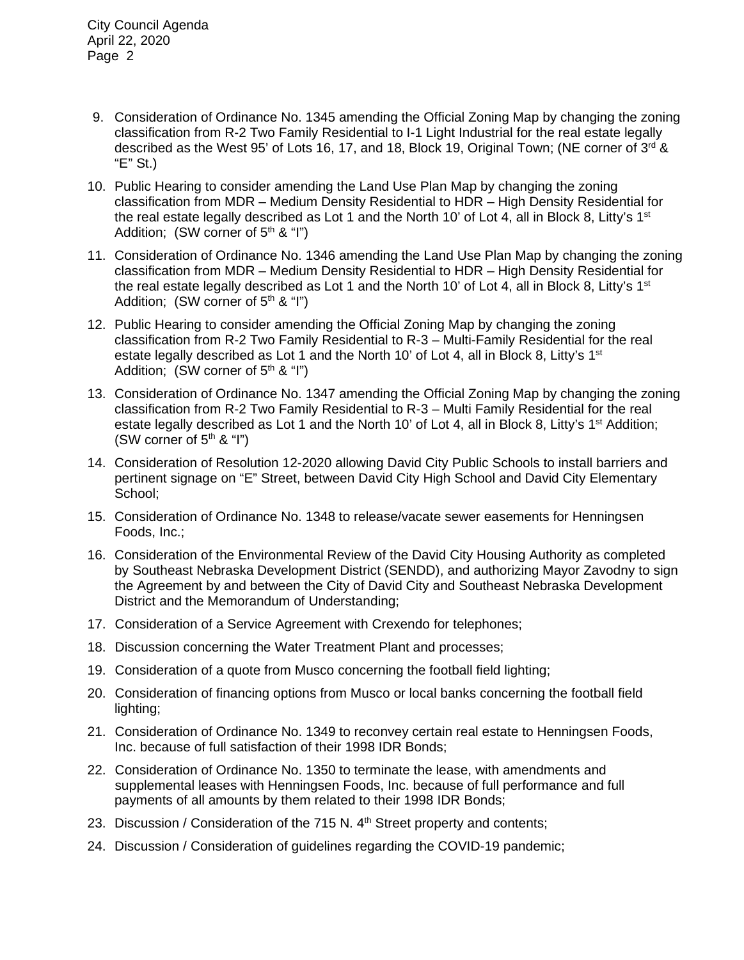- 9. Consideration of Ordinance No. 1345 amending the Official Zoning Map by changing the zoning classification from R-2 Two Family Residential to I-1 Light Industrial for the real estate legally described as the West 95' of Lots 16, 17, and 18, Block 19, Original Town; (NE corner of 3rd & "E" St.)
- 10. Public Hearing to consider amending the Land Use Plan Map by changing the zoning classification from MDR – Medium Density Residential to HDR – High Density Residential for the real estate legally described as Lot 1 and the North 10' of Lot 4, all in Block 8, Litty's 1<sup>st</sup> Addition; (SW corner of  $5<sup>th</sup>$  & "I")
- 11. Consideration of Ordinance No. 1346 amending the Land Use Plan Map by changing the zoning classification from MDR – Medium Density Residential to HDR – High Density Residential for the real estate legally described as Lot 1 and the North 10' of Lot 4, all in Block 8, Litty's 1<sup>st</sup> Addition; (SW corner of  $5<sup>th</sup>$  & "I")
- 12. Public Hearing to consider amending the Official Zoning Map by changing the zoning classification from R-2 Two Family Residential to R-3 – Multi-Family Residential for the real estate legally described as Lot 1 and the North 10' of Lot 4, all in Block 8, Litty's 1<sup>st</sup> Addition: (SW corner of  $5<sup>th</sup>$  & "I")
- 13. Consideration of Ordinance No. 1347 amending the Official Zoning Map by changing the zoning classification from R-2 Two Family Residential to R-3 – Multi Family Residential for the real estate legally described as Lot 1 and the North 10' of Lot 4, all in Block 8, Litty's  $1<sup>st</sup>$  Addition; (SW corner of  $5<sup>th</sup>$  & "I")
- 14. Consideration of Resolution 12-2020 allowing David City Public Schools to install barriers and pertinent signage on "E" Street, between David City High School and David City Elementary School;
- 15. Consideration of Ordinance No. 1348 to release/vacate sewer easements for Henningsen Foods, Inc.;
- 16. Consideration of the Environmental Review of the David City Housing Authority as completed by Southeast Nebraska Development District (SENDD), and authorizing Mayor Zavodny to sign the Agreement by and between the City of David City and Southeast Nebraska Development District and the Memorandum of Understanding;
- 17. Consideration of a Service Agreement with Crexendo for telephones;
- 18. Discussion concerning the Water Treatment Plant and processes;
- 19. Consideration of a quote from Musco concerning the football field lighting;
- 20. Consideration of financing options from Musco or local banks concerning the football field lighting;
- 21. Consideration of Ordinance No. 1349 to reconvey certain real estate to Henningsen Foods, Inc. because of full satisfaction of their 1998 IDR Bonds;
- 22. Consideration of Ordinance No. 1350 to terminate the lease, with amendments and supplemental leases with Henningsen Foods, Inc. because of full performance and full payments of all amounts by them related to their 1998 IDR Bonds;
- 23. Discussion / Consideration of the 715 N.  $4<sup>th</sup>$  Street property and contents;
- 24. Discussion / Consideration of guidelines regarding the COVID-19 pandemic;